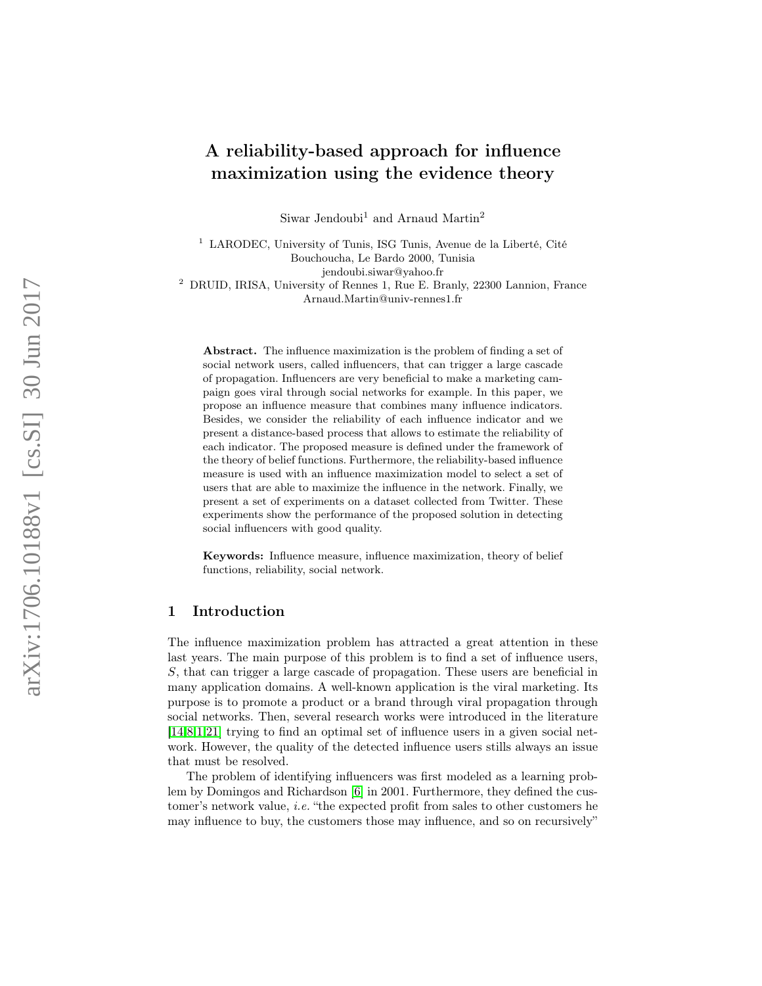# A reliability-based approach for influence maximization using the evidence theory

Siwar Jendoubi<sup>1</sup> and Arnaud Martin<sup>2</sup>

<sup>1</sup> LARODEC, University of Tunis, ISG Tunis, Avenue de la Liberté, Cité Bouchoucha, Le Bardo 2000, Tunisia jendoubi.siwar@yahoo.fr

<sup>2</sup> DRUID, IRISA, University of Rennes 1, Rue E. Branly, 22300 Lannion, France Arnaud.Martin@univ-rennes1.fr

Abstract. The influence maximization is the problem of finding a set of social network users, called influencers, that can trigger a large cascade of propagation. Influencers are very beneficial to make a marketing campaign goes viral through social networks for example. In this paper, we propose an influence measure that combines many influence indicators. Besides, we consider the reliability of each influence indicator and we present a distance-based process that allows to estimate the reliability of each indicator. The proposed measure is defined under the framework of the theory of belief functions. Furthermore, the reliability-based influence measure is used with an influence maximization model to select a set of users that are able to maximize the influence in the network. Finally, we present a set of experiments on a dataset collected from Twitter. These experiments show the performance of the proposed solution in detecting social influencers with good quality.

Keywords: Influence measure, influence maximization, theory of belief functions, reliability, social network.

## 1 Introduction

The influence maximization problem has attracted a great attention in these last years. The main purpose of this problem is to find a set of influence users, S, that can trigger a large cascade of propagation. These users are beneficial in many application domains. A well-known application is the viral marketing. Its purpose is to promote a product or a brand through viral propagation through social networks. Then, several research works were introduced in the literature [\[14](#page-13-0)[,8](#page-12-0)[,1,](#page-12-1)[21\]](#page-13-1) trying to find an optimal set of influence users in a given social network. However, the quality of the detected influence users stills always an issue that must be resolved.

The problem of identifying influencers was first modeled as a learning problem by Domingos and Richardson [\[6\]](#page-12-2) in 2001. Furthermore, they defined the customer's network value, i.e. "the expected profit from sales to other customers he may influence to buy, the customers those may influence, and so on recursively"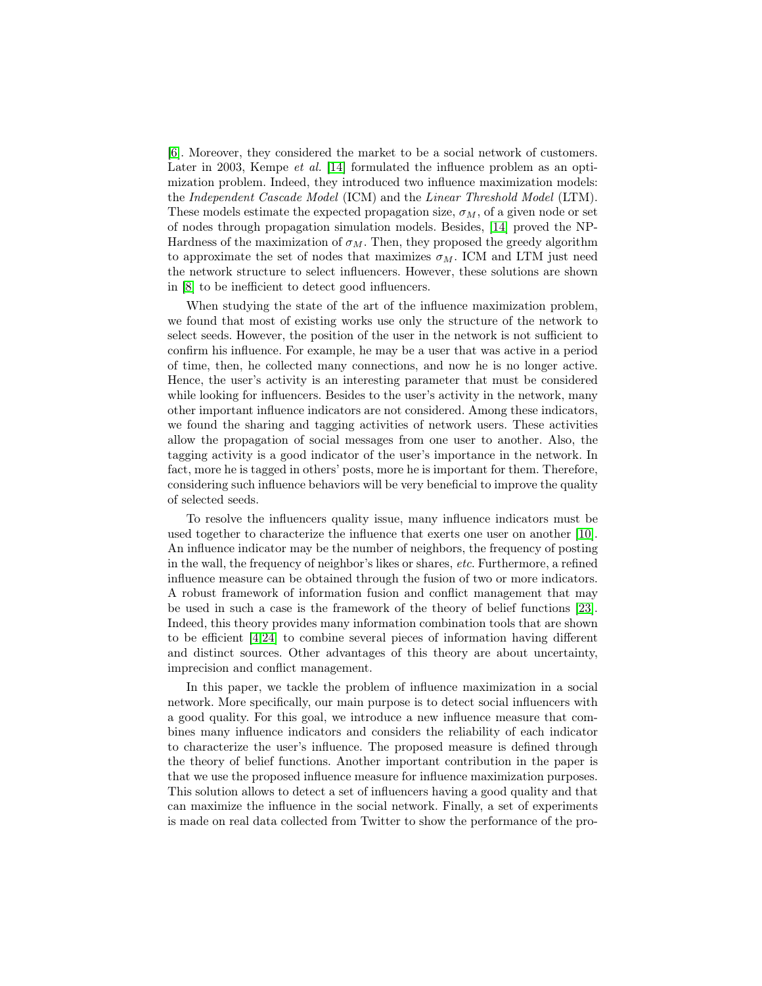[\[6\]](#page-12-2). Moreover, they considered the market to be a social network of customers. Later in 2003, Kempe *et al.* [\[14\]](#page-13-0) formulated the influence problem as an optimization problem. Indeed, they introduced two influence maximization models: the Independent Cascade Model (ICM) and the Linear Threshold Model (LTM). These models estimate the expected propagation size,  $\sigma_M$ , of a given node or set of nodes through propagation simulation models. Besides, [\[14\]](#page-13-0) proved the NP-Hardness of the maximization of  $\sigma_M$ . Then, they proposed the greedy algorithm to approximate the set of nodes that maximizes  $\sigma_M$ . ICM and LTM just need the network structure to select influencers. However, these solutions are shown in [\[8\]](#page-12-0) to be inefficient to detect good influencers.

When studying the state of the art of the influence maximization problem, we found that most of existing works use only the structure of the network to select seeds. However, the position of the user in the network is not sufficient to confirm his influence. For example, he may be a user that was active in a period of time, then, he collected many connections, and now he is no longer active. Hence, the user's activity is an interesting parameter that must be considered while looking for influencers. Besides to the user's activity in the network, many other important influence indicators are not considered. Among these indicators, we found the sharing and tagging activities of network users. These activities allow the propagation of social messages from one user to another. Also, the tagging activity is a good indicator of the user's importance in the network. In fact, more he is tagged in others' posts, more he is important for them. Therefore, considering such influence behaviors will be very beneficial to improve the quality of selected seeds.

To resolve the influencers quality issue, many influence indicators must be used together to characterize the influence that exerts one user on another [\[10\]](#page-13-2). An influence indicator may be the number of neighbors, the frequency of posting in the wall, the frequency of neighbor's likes or shares, etc. Furthermore, a refined influence measure can be obtained through the fusion of two or more indicators. A robust framework of information fusion and conflict management that may be used in such a case is the framework of the theory of belief functions [\[23\]](#page-13-3). Indeed, this theory provides many information combination tools that are shown to be efficient [\[4,](#page-12-3)[24\]](#page-13-4) to combine several pieces of information having different and distinct sources. Other advantages of this theory are about uncertainty, imprecision and conflict management.

In this paper, we tackle the problem of influence maximization in a social network. More specifically, our main purpose is to detect social influencers with a good quality. For this goal, we introduce a new influence measure that combines many influence indicators and considers the reliability of each indicator to characterize the user's influence. The proposed measure is defined through the theory of belief functions. Another important contribution in the paper is that we use the proposed influence measure for influence maximization purposes. This solution allows to detect a set of influencers having a good quality and that can maximize the influence in the social network. Finally, a set of experiments is made on real data collected from Twitter to show the performance of the pro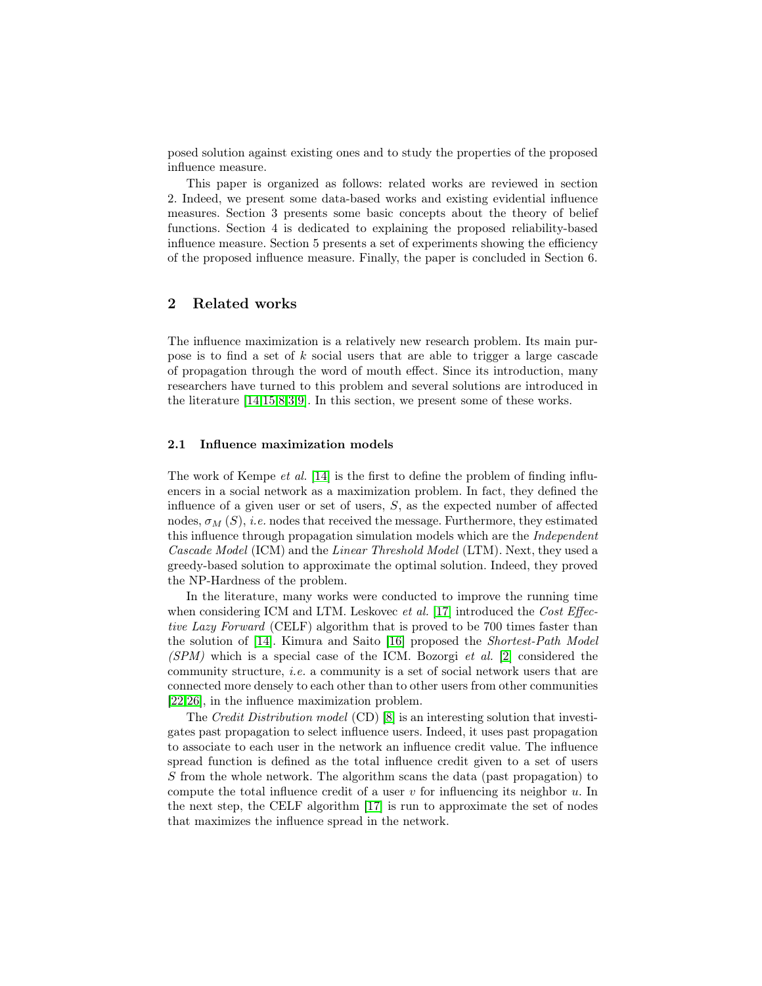posed solution against existing ones and to study the properties of the proposed influence measure.

This paper is organized as follows: related works are reviewed in section 2. Indeed, we present some data-based works and existing evidential influence measures. Section 3 presents some basic concepts about the theory of belief functions. Section 4 is dedicated to explaining the proposed reliability-based influence measure. Section 5 presents a set of experiments showing the efficiency of the proposed influence measure. Finally, the paper is concluded in Section 6.

# 2 Related works

The influence maximization is a relatively new research problem. Its main purpose is to find a set of k social users that are able to trigger a large cascade of propagation through the word of mouth effect. Since its introduction, many researchers have turned to this problem and several solutions are introduced in the literature [\[14](#page-13-0)[,15,](#page-13-5)[8,](#page-12-0)[3,](#page-12-4)[9\]](#page-12-5). In this section, we present some of these works.

## 2.1 Influence maximization models

The work of Kempe *et al.* [\[14\]](#page-13-0) is the first to define the problem of finding influencers in a social network as a maximization problem. In fact, they defined the influence of a given user or set of users, S, as the expected number of affected nodes,  $\sigma_M(S)$ , *i.e.* nodes that received the message. Furthermore, they estimated this influence through propagation simulation models which are the Independent Cascade Model (ICM) and the Linear Threshold Model (LTM). Next, they used a greedy-based solution to approximate the optimal solution. Indeed, they proved the NP-Hardness of the problem.

In the literature, many works were conducted to improve the running time when considering ICM and LTM. Leskovec *et al.* [\[17\]](#page-13-6) introduced the *Cost Effec*tive Lazy Forward (CELF) algorithm that is proved to be 700 times faster than the solution of [\[14\]](#page-13-0). Kimura and Saito [\[16\]](#page-13-7) proposed the Shortest-Path Model (SPM) which is a special case of the ICM. Bozorgi et al. [\[2\]](#page-12-6) considered the community structure, i.e. a community is a set of social network users that are connected more densely to each other than to other users from other communities [\[22](#page-13-8)[,26\]](#page-13-9), in the influence maximization problem.

The Credit Distribution model (CD) [\[8\]](#page-12-0) is an interesting solution that investigates past propagation to select influence users. Indeed, it uses past propagation to associate to each user in the network an influence credit value. The influence spread function is defined as the total influence credit given to a set of users S from the whole network. The algorithm scans the data (past propagation) to compute the total influence credit of a user v for influencing its neighbor  $u$ . In the next step, the CELF algorithm [\[17\]](#page-13-6) is run to approximate the set of nodes that maximizes the influence spread in the network.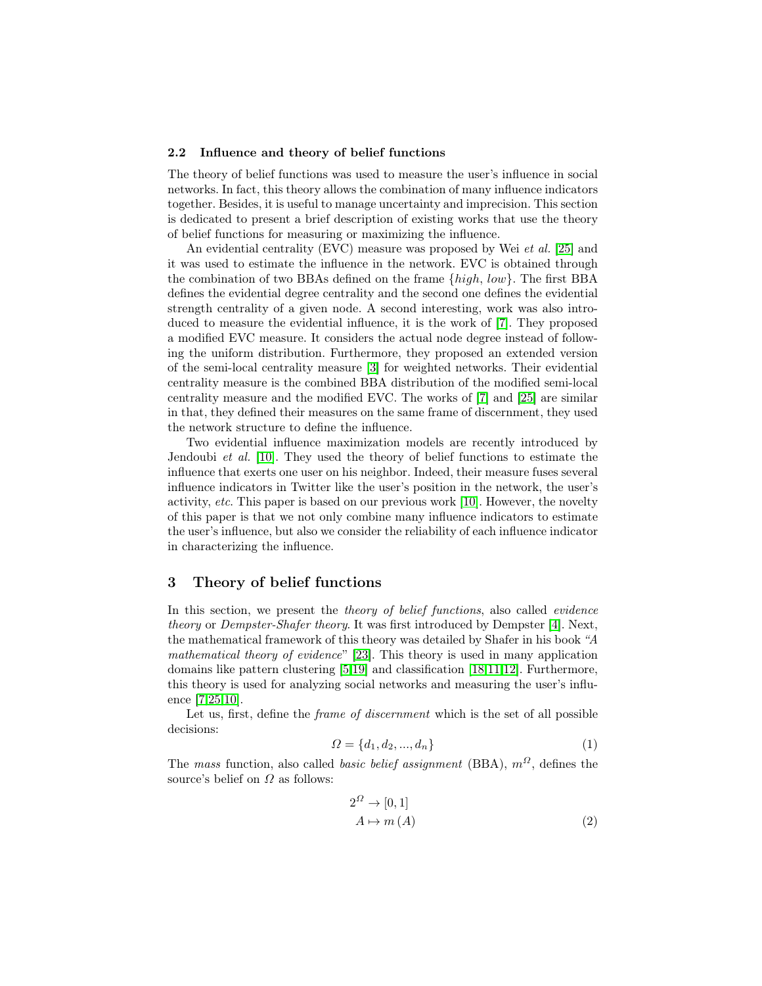### 2.2 Influence and theory of belief functions

The theory of belief functions was used to measure the user's influence in social networks. In fact, this theory allows the combination of many influence indicators together. Besides, it is useful to manage uncertainty and imprecision. This section is dedicated to present a brief description of existing works that use the theory of belief functions for measuring or maximizing the influence.

An evidential centrality (EVC) measure was proposed by Wei *et al.* [\[25\]](#page-13-10) and it was used to estimate the influence in the network. EVC is obtained through the combination of two BBAs defined on the frame  $\{high, low\}$ . The first BBA defines the evidential degree centrality and the second one defines the evidential strength centrality of a given node. A second interesting, work was also introduced to measure the evidential influence, it is the work of [\[7\]](#page-12-7). They proposed a modified EVC measure. It considers the actual node degree instead of following the uniform distribution. Furthermore, they proposed an extended version of the semi-local centrality measure [\[3\]](#page-12-4) for weighted networks. Their evidential centrality measure is the combined BBA distribution of the modified semi-local centrality measure and the modified EVC. The works of [\[7\]](#page-12-7) and [\[25\]](#page-13-10) are similar in that, they defined their measures on the same frame of discernment, they used the network structure to define the influence.

Two evidential influence maximization models are recently introduced by Jendoubi et al. [\[10\]](#page-13-2). They used the theory of belief functions to estimate the influence that exerts one user on his neighbor. Indeed, their measure fuses several influence indicators in Twitter like the user's position in the network, the user's activity, *etc.* This paper is based on our previous work  $[10]$ . However, the novelty of this paper is that we not only combine many influence indicators to estimate the user's influence, but also we consider the reliability of each influence indicator in characterizing the influence.

# 3 Theory of belief functions

In this section, we present the *theory of belief functions*, also called *evidence* theory or Dempster-Shafer theory. It was first introduced by Dempster [\[4\]](#page-12-3). Next, the mathematical framework of this theory was detailed by Shafer in his book "A mathematical theory of evidence" [\[23\]](#page-13-3). This theory is used in many application domains like pattern clustering [\[5](#page-12-8)[,19\]](#page-13-11) and classification [\[18,](#page-13-12)[11,](#page-13-13)[12\]](#page-13-14). Furthermore, this theory is used for analyzing social networks and measuring the user's influence [\[7,](#page-12-7)[25](#page-13-10)[,10\]](#page-13-2).

Let us, first, define the *frame of discernment* which is the set of all possible decisions:

$$
\Omega = \{d_1, d_2, ..., d_n\} \tag{1}
$$

The mass function, also called *basic belief assignment* (BBA),  $m^2$ , defines the source's belief on  $\Omega$  as follows:

$$
2^{\Omega} \to [0, 1] A \mapsto m(A)
$$
 (2)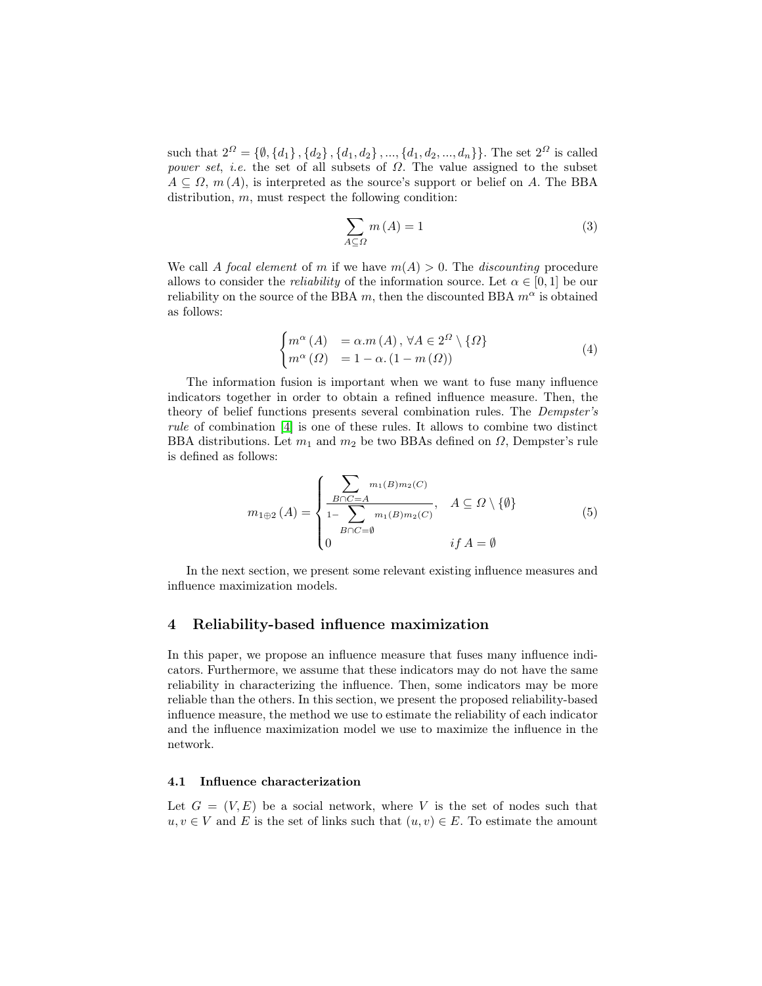such that  $2^{\Omega} = \{\emptyset, \{d_1\}, \{d_2\}, \{d_1, d_2\}, ..., \{d_1, d_2, ..., d_n\}\}\.$  The set  $2^{\Omega}$  is called power set, i.e. the set of all subsets of  $\Omega$ . The value assigned to the subset  $A \subseteq \Omega$ ,  $m(A)$ , is interpreted as the source's support or belief on A. The BBA distribution,  $m$ , must respect the following condition:

$$
\sum_{A \subseteq \Omega} m(A) = 1 \tag{3}
$$

We call A focal element of m if we have  $m(A) > 0$ . The discounting procedure allows to consider the *reliability* of the information source. Let  $\alpha \in [0,1]$  be our reliability on the source of the BBA m, then the discounted BBA  $m^{\alpha}$  is obtained as follows:

<span id="page-4-0"></span>
$$
\begin{cases} m^{\alpha}(A) & = \alpha.m(A), \forall A \in 2^{\Omega} \setminus \{\Omega\} \\ m^{\alpha}(\Omega) & = 1 - \alpha. (1 - m(\Omega)) \end{cases}
$$
(4)

The information fusion is important when we want to fuse many influence indicators together in order to obtain a refined influence measure. Then, the theory of belief functions presents several combination rules. The Dempster's rule of combination [\[4\]](#page-12-3) is one of these rules. It allows to combine two distinct BBA distributions. Let  $m_1$  and  $m_2$  be two BBAs defined on  $\Omega$ , Dempster's rule is defined as follows:

<span id="page-4-1"></span>
$$
m_{1\oplus 2}(A) = \begin{cases} \sum_{B \cap C = A} m_1(B)m_2(C) \\ \frac{1 - \sum_{B \cap C = \emptyset} m_1(B)m_2(C)}{m_2(B)m_2(C)}, & A \subseteq \Omega \setminus \{\emptyset\} \\ 0 & if A = \emptyset \end{cases}
$$
(5)

In the next section, we present some relevant existing influence measures and influence maximization models.

## 4 Reliability-based influence maximization

In this paper, we propose an influence measure that fuses many influence indicators. Furthermore, we assume that these indicators may do not have the same reliability in characterizing the influence. Then, some indicators may be more reliable than the others. In this section, we present the proposed reliability-based influence measure, the method we use to estimate the reliability of each indicator and the influence maximization model we use to maximize the influence in the network.

## 4.1 Influence characterization

Let  $G = (V, E)$  be a social network, where V is the set of nodes such that  $u, v \in V$  and E is the set of links such that  $(u, v) \in E$ . To estimate the amount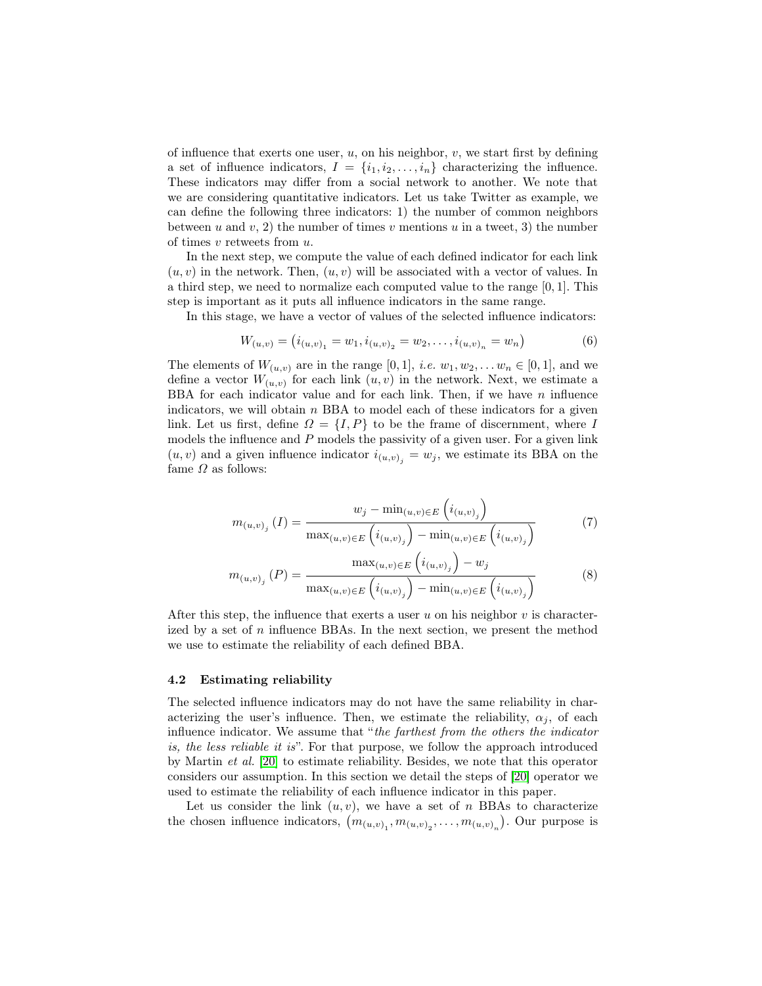of influence that exerts one user,  $u$ , on his neighbor,  $v$ , we start first by defining a set of influence indicators,  $I = \{i_1, i_2, \ldots, i_n\}$  characterizing the influence. These indicators may differ from a social network to another. We note that we are considering quantitative indicators. Let us take Twitter as example, we can define the following three indicators: 1) the number of common neighbors between u and v, 2) the number of times v mentions u in a tweet, 3) the number of times  $v$  retweets from  $u$ .

In the next step, we compute the value of each defined indicator for each link  $(u, v)$  in the network. Then,  $(u, v)$  will be associated with a vector of values. In a third step, we need to normalize each computed value to the range [0, 1]. This step is important as it puts all influence indicators in the same range.

In this stage, we have a vector of values of the selected influence indicators:

$$
W_{(u,v)} = (i_{(u,v)}_1 = w_1, i_{(u,v)}_2 = w_2, \dots, i_{(u,v)}_n = w_n)
$$
\n<sup>(6)</sup>

The elements of  $W_{(u,v)}$  are in the range [0, 1], *i.e.*  $w_1, w_2, \ldots w_n \in [0,1]$ , and we define a vector  $W_{(u,v)}$  for each link  $(u, v)$  in the network. Next, we estimate a BBA for each indicator value and for each link. Then, if we have  $n$  influence indicators, we will obtain  $n$  BBA to model each of these indicators for a given link. Let us first, define  $\Omega = \{I, P\}$  to be the frame of discernment, where I models the influence and  $P$  models the passivity of a given user. For a given link  $(u, v)$  and a given influence indicator  $i_{(u,v)} = w_j$ , we estimate its BBA on the fame  $\Omega$  as follows:

$$
m_{(u,v)_j}(I) = \frac{w_j - \min_{(u,v)\in E} (i_{(u,v)_j})}{\max_{(u,v)\in E} (i_{(u,v)_j}) - \min_{(u,v)\in E} (i_{(u,v)_j})}
$$
(7)  

$$
m_{(u,v)_j}(P) = \frac{\max_{(u,v)\in E} (i_{(u,v)_j}) - w_j}{\max_{(u,v)\in E} (i_{(u,v)_j}) - \min_{(u,v)\in E} (i_{(u,v)_j})}
$$
(8)

After this step, the influence that exerts a user  $u$  on his neighbor  $v$  is characterized by a set of  $n$  influence BBAs. In the next section, we present the method we use to estimate the reliability of each defined BBA.

#### <span id="page-5-0"></span>4.2 Estimating reliability

The selected influence indicators may do not have the same reliability in characterizing the user's influence. Then, we estimate the reliability,  $\alpha_i$ , of each influence indicator. We assume that "the farthest from the others the indicator is, the less reliable it is". For that purpose, we follow the approach introduced by Martin et al. [\[20\]](#page-13-15) to estimate reliability. Besides, we note that this operator considers our assumption. In this section we detail the steps of [\[20\]](#page-13-15) operator we used to estimate the reliability of each influence indicator in this paper.

Let us consider the link  $(u, v)$ , we have a set of n BBAs to characterize the chosen influence indicators,  $(m_{(u,v)}_1, m_{(u,v)}_2, \ldots, m_{(u,v)}_n)$ . Our purpose is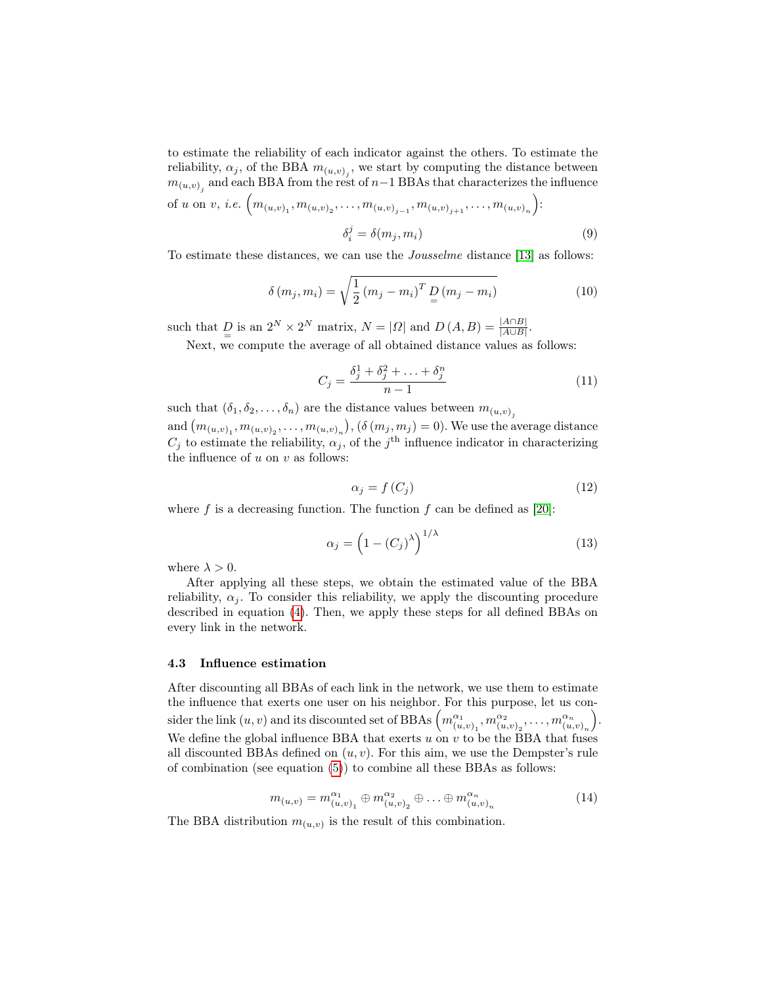to estimate the reliability of each indicator against the others. To estimate the reliability,  $\alpha_j$ , of the BBA  $m_{(u,v)_j}$ , we start by computing the distance between  $m_{(u,v)_j}$  and each BBA from the rest of  $n-1$  BBAs that characterizes the influence of u on v, *i.e.*  $\left($  $\setminus$ 

$$
f(u \text{ on } v, i.e. \left( m_{(u,v)_1}, m_{(u,v)_2}, \dots, m_{(u,v)_{j-1}}, m_{(u,v)_{j+1}}, \dots, m_{(u,v)_n} \right):
$$

$$
\delta_i^j = \delta(m_j, m_i)
$$
(9)

To estimate these distances, we can use the Jousselme distance [\[13\]](#page-13-16) as follows:

$$
\delta(m_j, m_i) = \sqrt{\frac{1}{2} (m_j - m_i)^T} \, \frac{D}{m_j - m_i)} \tag{10}
$$

such that  $\underline{D}$  is an  $2^N \times 2^N$  matrix,  $N = |\Omega|$  and  $D(A, B) = \frac{|A \cap B|}{|A \cup B|}$ .

Next, we compute the average of all obtained distance values as follows:

$$
C_j = \frac{\delta_j^1 + \delta_j^2 + \dots + \delta_j^n}{n - 1}
$$
 (11)

such that  $(\delta_1, \delta_2, \ldots, \delta_n)$  are the distance values between  $m_{(u,v)}$ 

and  $(m_{(u,v)_1}, m_{(u,v)_2}, \ldots, m_{(u,v)_n}), (\delta(m_j, m_j) = 0)$ . We use the average distance  $C_j$  to estimate the reliability,  $\alpha_j$ , of the j<sup>th</sup> influence indicator in characterizing the influence of  $u$  on  $v$  as follows:

$$
\alpha_j = f(C_j) \tag{12}
$$

where f is a decreasing function. The function f can be defined as [\[20\]](#page-13-15):

<span id="page-6-0"></span>
$$
\alpha_j = \left(1 - \left(C_j\right)^{\lambda}\right)^{1/\lambda} \tag{13}
$$

where  $\lambda > 0$ .

After applying all these steps, we obtain the estimated value of the BBA reliability,  $\alpha_i$ . To consider this reliability, we apply the discounting procedure described in equation [\(4\)](#page-4-0). Then, we apply these steps for all defined BBAs on every link in the network.

#### 4.3 Influence estimation

After discounting all BBAs of each link in the network, we use them to estimate the influence that exerts one user on his neighbor. For this purpose, let us consider the link  $(u, v)$  and its discounted set of BBAs  $\left(m_{(u, v)_1}^{\alpha_1}, m_{(u, v)_2}^{\alpha_2}, \ldots, m_{(u, v)_n}^{\alpha_n}\right)$  . We define the global influence BBA that exerts  $u$  on  $v$  to be the BBA that fuses all discounted BBAs defined on  $(u, v)$ . For this aim, we use the Dempster's rule of combination (see equation [\(5\)](#page-4-1)) to combine all these BBAs as follows:

$$
m_{(u,v)} = m_{(u,v)}^{\alpha_1} \oplus m_{(u,v)}^{\alpha_2} \oplus \ldots \oplus m_{(u,v)}^{\alpha_n}
$$
 (14)

The BBA distribution  $m_{(u,v)}$  is the result of this combination.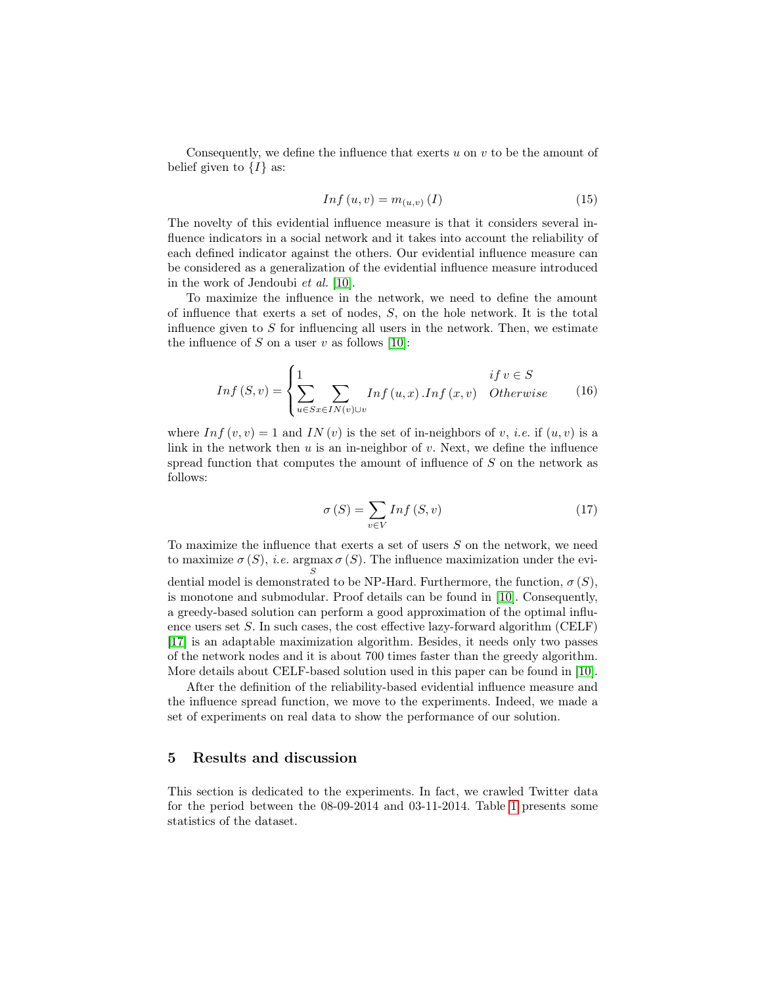Consequently, we define the influence that exerts  $u$  on  $v$  to be the amount of belief given to  ${I}$  as:

$$
Inf(u, v) = m_{(u,v)}(I)
$$
\n
$$
(15)
$$

The novelty of this evidential influence measure is that it considers several influence indicators in a social network and it takes into account the reliability of each defined indicator against the others. Our evidential influence measure can be considered as a generalization of the evidential influence measure introduced in the work of Jendoubi et al. [\[10\]](#page-13-2).

To maximize the influence in the network, we need to define the amount of influence that exerts a set of nodes, S, on the hole network. It is the total influence given to  $S$  for influencing all users in the network. Then, we estimate the influence of  $S$  on a user  $v$  as follows [\[10\]](#page-13-2):

$$
Inf(S, v) = \begin{cases} 1 & if v \in S \\ \sum_{u \in S} \sum_{x \in IN(v) \cup v} Inf(u, x) \cdot Inf(x, v) & Otherwise \end{cases}
$$
 (16)

where  $Inf(v, v) = 1$  and  $IN(v)$  is the set of in-neighbors of v, *i.e.* if  $(u, v)$  is a link in the network then  $u$  is an in-neighbor of  $v$ . Next, we define the influence spread function that computes the amount of influence of S on the network as follows:

$$
\sigma(S) = \sum_{v \in V} Inf(S, v) \tag{17}
$$

To maximize the influence that exerts a set of users S on the network, we need to maximize  $\sigma(S)$ , *i.e.* argmax  $\sigma(S)$ . The influence maximization under the evidential model is demonstrated to be NP-Hard. Furthermore, the function,  $\sigma(S)$ , is monotone and submodular. Proof details can be found in [\[10\]](#page-13-2). Consequently, a greedy-based solution can perform a good approximation of the optimal influence users set  $S$ . In such cases, the cost effective lazy-forward algorithm (CELF) [\[17\]](#page-13-6) is an adaptable maximization algorithm. Besides, it needs only two passes of the network nodes and it is about 700 times faster than the greedy algorithm. More details about CELF-based solution used in this paper can be found in [\[10\]](#page-13-2).

After the definition of the reliability-based evidential influence measure and the influence spread function, we move to the experiments. Indeed, we made a set of experiments on real data to show the performance of our solution.

## 5 Results and discussion

This section is dedicated to the experiments. In fact, we crawled Twitter data for the period between the 08-09-2014 and 03-11-2014. Table [1](#page-8-0) presents some statistics of the dataset.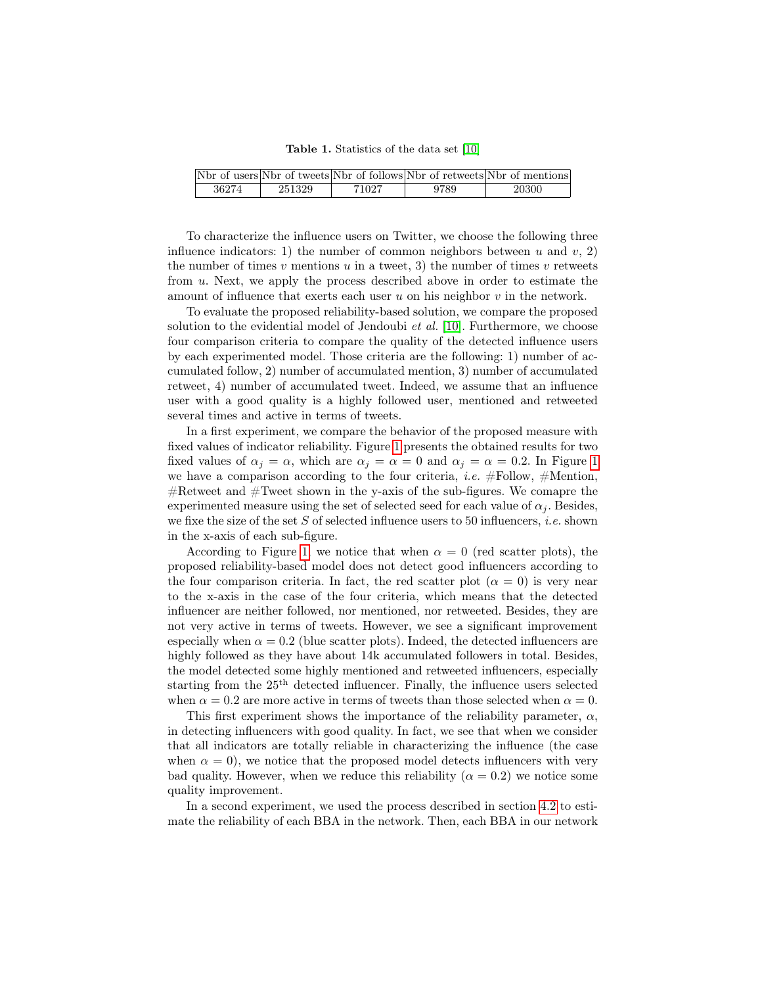<span id="page-8-0"></span>Table 1. Statistics of the data set [\[10\]](#page-13-2)

|       |        |       |      | Not of users Not of tweets Not of follows Not of retweets Not of mentions |
|-------|--------|-------|------|---------------------------------------------------------------------------|
| 36274 | 251329 | 71027 | 9789 | 20300                                                                     |

To characterize the influence users on Twitter, we choose the following three influence indicators: 1) the number of common neighbors between u and v, 2) the number of times v mentions u in a tweet, 3) the number of times v retweets from u. Next, we apply the process described above in order to estimate the amount of influence that exerts each user  $u$  on his neighbor  $v$  in the network.

To evaluate the proposed reliability-based solution, we compare the proposed solution to the evidential model of Jendoubi et al. [\[10\]](#page-13-2). Furthermore, we choose four comparison criteria to compare the quality of the detected influence users by each experimented model. Those criteria are the following: 1) number of accumulated follow, 2) number of accumulated mention, 3) number of accumulated retweet, 4) number of accumulated tweet. Indeed, we assume that an influence user with a good quality is a highly followed user, mentioned and retweeted several times and active in terms of tweets.

In a first experiment, we compare the behavior of the proposed measure with fixed values of indicator reliability. Figure [1](#page-9-0) presents the obtained results for two fixed values of  $\alpha_i = \alpha$ , which are  $\alpha_i = \alpha = 0$  and  $\alpha_i = \alpha = 0.2$ . In Figure [1](#page-9-0) we have a comparison according to the four criteria, *i.e.* #Follow, #Mention,  $#$ Retweet and  $#$ Tweet shown in the y-axis of the sub-figures. We comapre the experimented measure using the set of selected seed for each value of  $\alpha_i$ . Besides, we fixe the size of the set  $S$  of selected influence users to 50 influencers, *i.e.* shown in the x-axis of each sub-figure.

According to Figure [1,](#page-9-0) we notice that when  $\alpha = 0$  (red scatter plots), the proposed reliability-based model does not detect good influencers according to the four comparison criteria. In fact, the red scatter plot  $(\alpha = 0)$  is very near to the x-axis in the case of the four criteria, which means that the detected influencer are neither followed, nor mentioned, nor retweeted. Besides, they are not very active in terms of tweets. However, we see a significant improvement especially when  $\alpha = 0.2$  (blue scatter plots). Indeed, the detected influencers are highly followed as they have about 14k accumulated followers in total. Besides, the model detected some highly mentioned and retweeted influencers, especially starting from the 25<sup>th</sup> detected influencer. Finally, the influence users selected when  $\alpha = 0.2$  are more active in terms of tweets than those selected when  $\alpha = 0$ .

This first experiment shows the importance of the reliability parameter,  $\alpha$ , in detecting influencers with good quality. In fact, we see that when we consider that all indicators are totally reliable in characterizing the influence (the case when  $\alpha = 0$ , we notice that the proposed model detects influencers with very bad quality. However, when we reduce this reliability ( $\alpha = 0.2$ ) we notice some quality improvement.

In a second experiment, we used the process described in section [4.2](#page-5-0) to estimate the reliability of each BBA in the network. Then, each BBA in our network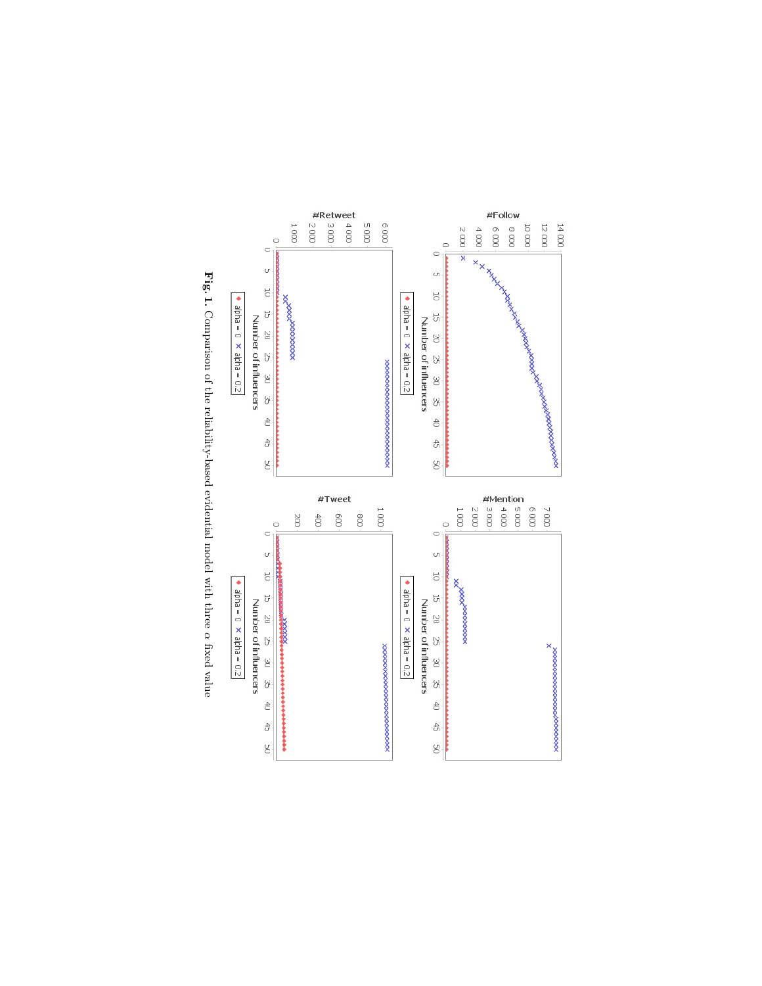

<span id="page-9-0"></span>Fig. 1. Comparison of the reliability-based evidential model with three α fixed value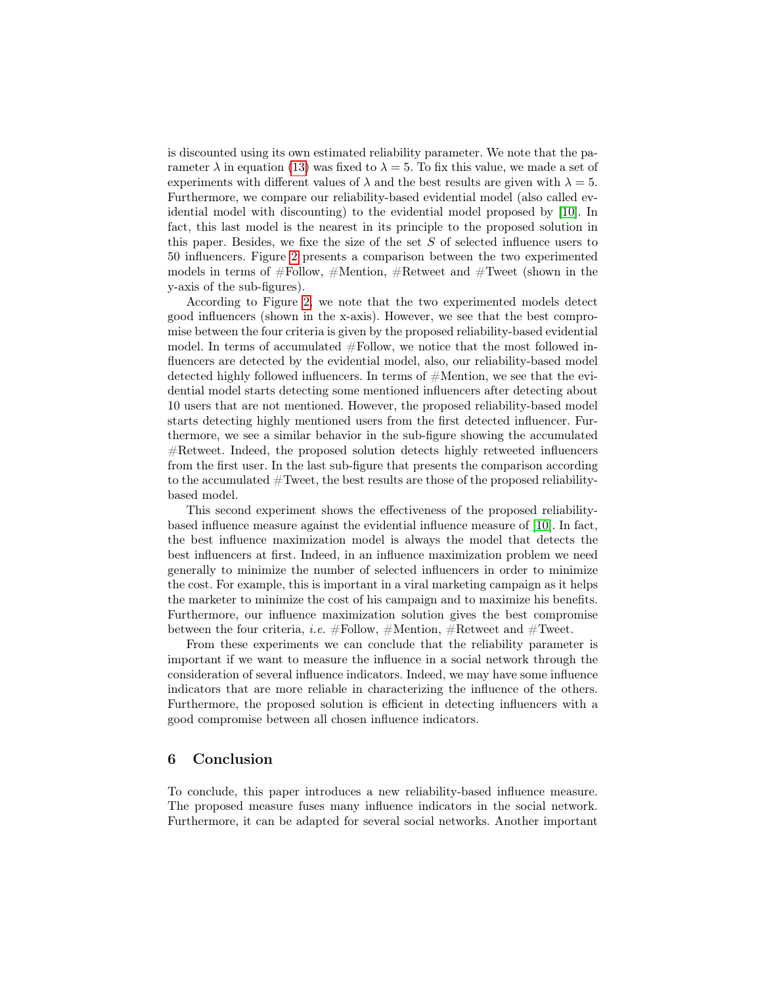is discounted using its own estimated reliability parameter. We note that the parameter  $\lambda$  in equation [\(13\)](#page-6-0) was fixed to  $\lambda = 5$ . To fix this value, we made a set of experiments with different values of  $\lambda$  and the best results are given with  $\lambda = 5$ . Furthermore, we compare our reliability-based evidential model (also called evidential model with discounting) to the evidential model proposed by [\[10\]](#page-13-2). In fact, this last model is the nearest in its principle to the proposed solution in this paper. Besides, we fixe the size of the set S of selected influence users to 50 influencers. Figure [2](#page-11-0) presents a comparison between the two experimented models in terms of  $\#$ Follow,  $\#$ Mention,  $\#$ Retweet and  $\#$ Tweet (shown in the y-axis of the sub-figures).

According to Figure [2,](#page-11-0) we note that the two experimented models detect good influencers (shown in the x-axis). However, we see that the best compromise between the four criteria is given by the proposed reliability-based evidential model. In terms of accumulated  $#$ Follow, we notice that the most followed influencers are detected by the evidential model, also, our reliability-based model detected highly followed influencers. In terms of #Mention, we see that the evidential model starts detecting some mentioned influencers after detecting about 10 users that are not mentioned. However, the proposed reliability-based model starts detecting highly mentioned users from the first detected influencer. Furthermore, we see a similar behavior in the sub-figure showing the accumulated #Retweet. Indeed, the proposed solution detects highly retweeted influencers from the first user. In the last sub-figure that presents the comparison according to the accumulated  $\# \text{T}$ weet, the best results are those of the proposed reliabilitybased model.

This second experiment shows the effectiveness of the proposed reliabilitybased influence measure against the evidential influence measure of [\[10\]](#page-13-2). In fact, the best influence maximization model is always the model that detects the best influencers at first. Indeed, in an influence maximization problem we need generally to minimize the number of selected influencers in order to minimize the cost. For example, this is important in a viral marketing campaign as it helps the marketer to minimize the cost of his campaign and to maximize his benefits. Furthermore, our influence maximization solution gives the best compromise between the four criteria, *i.e.* #Follow, #Mention, #Retweet and #Tweet.

From these experiments we can conclude that the reliability parameter is important if we want to measure the influence in a social network through the consideration of several influence indicators. Indeed, we may have some influence indicators that are more reliable in characterizing the influence of the others. Furthermore, the proposed solution is efficient in detecting influencers with a good compromise between all chosen influence indicators.

## 6 Conclusion

To conclude, this paper introduces a new reliability-based influence measure. The proposed measure fuses many influence indicators in the social network. Furthermore, it can be adapted for several social networks. Another important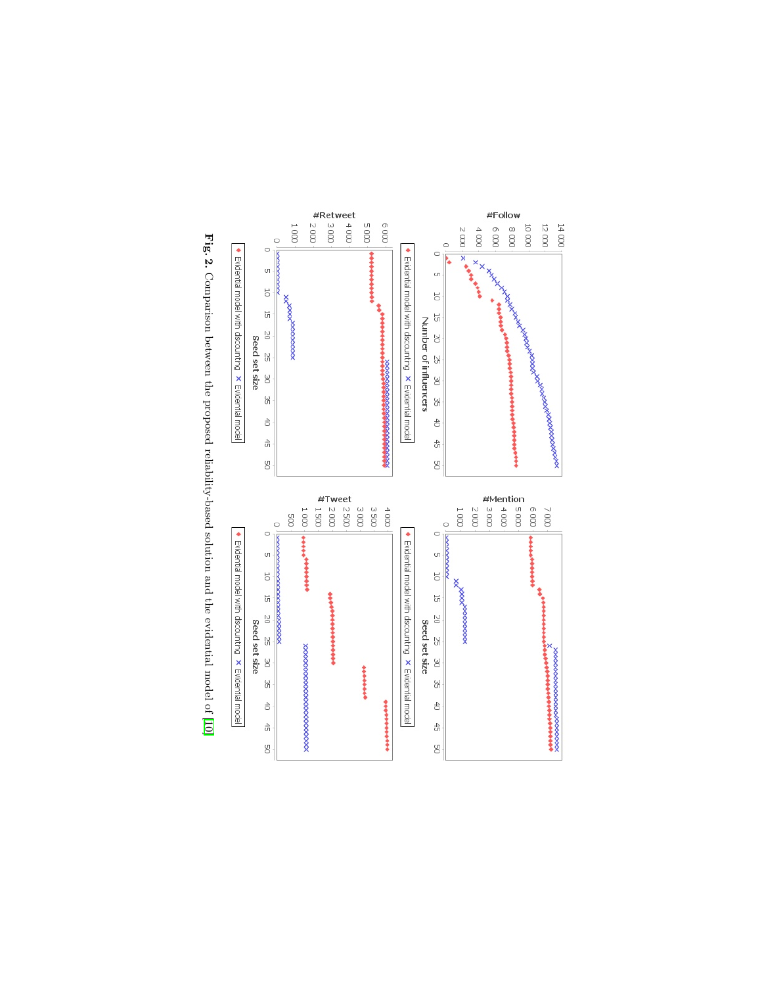

<span id="page-11-0"></span>Fig. 2. Comparison between the proposed reliability-based solution and the evidential model of [10] Comparison between the proposed reliability-based solution and the evidential model of [\[10\]](#page-13-2)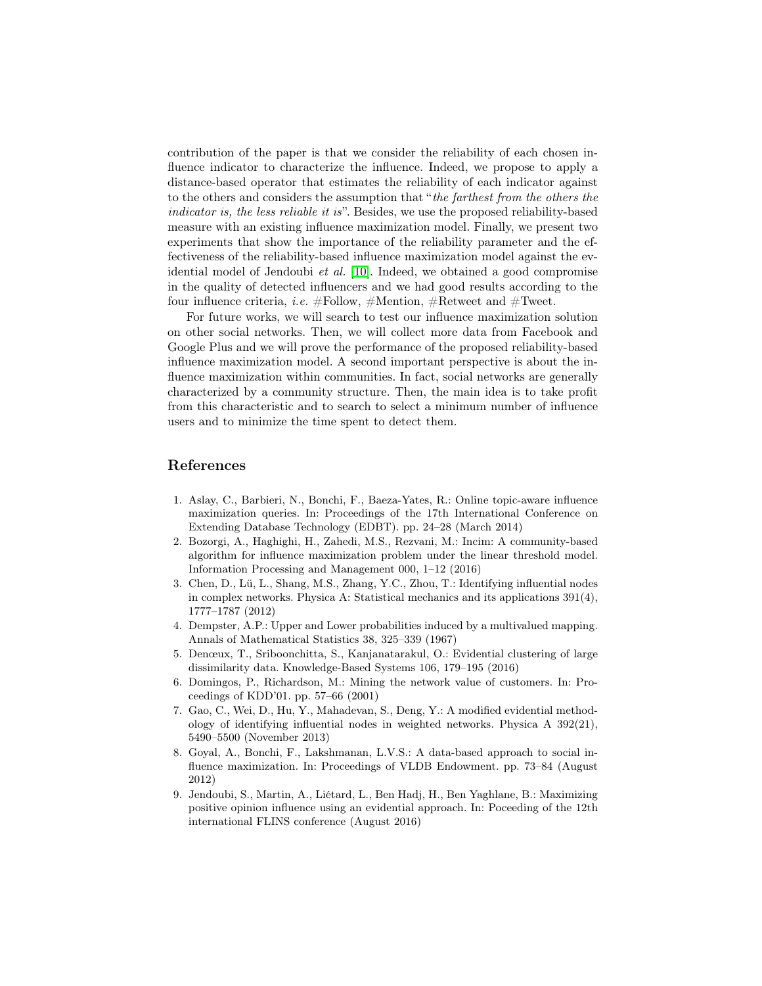contribution of the paper is that we consider the reliability of each chosen influence indicator to characterize the influence. Indeed, we propose to apply a distance-based operator that estimates the reliability of each indicator against to the others and considers the assumption that "the farthest from the others the indicator is, the less reliable it is". Besides, we use the proposed reliability-based measure with an existing influence maximization model. Finally, we present two experiments that show the importance of the reliability parameter and the effectiveness of the reliability-based influence maximization model against the evidential model of Jendoubi et al. [\[10\]](#page-13-2). Indeed, we obtained a good compromise in the quality of detected influencers and we had good results according to the four influence criteria, *i.e.* #Follow, #Mention, #Retweet and #Tweet.

For future works, we will search to test our influence maximization solution on other social networks. Then, we will collect more data from Facebook and Google Plus and we will prove the performance of the proposed reliability-based influence maximization model. A second important perspective is about the influence maximization within communities. In fact, social networks are generally characterized by a community structure. Then, the main idea is to take profit from this characteristic and to search to select a minimum number of influence users and to minimize the time spent to detect them.

## References

- <span id="page-12-1"></span>1. Aslay, C., Barbieri, N., Bonchi, F., Baeza-Yates, R.: Online topic-aware influence maximization queries. In: Proceedings of the 17th International Conference on Extending Database Technology (EDBT). pp. 24–28 (March 2014)
- <span id="page-12-6"></span>2. Bozorgi, A., Haghighi, H., Zahedi, M.S., Rezvani, M.: Incim: A community-based algorithm for influence maximization problem under the linear threshold model. Information Processing and Management 000, 1–12 (2016)
- <span id="page-12-4"></span>3. Chen, D., Lü, L., Shang, M.S., Zhang, Y.C., Zhou, T.: Identifying influential nodes in complex networks. Physica A: Statistical mechanics and its applications  $391(4)$ , 1777–1787 (2012)
- <span id="page-12-3"></span>4. Dempster, A.P.: Upper and Lower probabilities induced by a multivalued mapping. Annals of Mathematical Statistics 38, 325–339 (1967)
- <span id="page-12-8"></span>5. Denœux, T., Sriboonchitta, S., Kanjanatarakul, O.: Evidential clustering of large dissimilarity data. Knowledge-Based Systems 106, 179–195 (2016)
- <span id="page-12-2"></span>6. Domingos, P., Richardson, M.: Mining the network value of customers. In: Proceedings of KDD'01. pp. 57–66 (2001)
- <span id="page-12-7"></span>7. Gao, C., Wei, D., Hu, Y., Mahadevan, S., Deng, Y.: A modified evidential methodology of identifying influential nodes in weighted networks. Physica A 392(21), 5490–5500 (November 2013)
- <span id="page-12-0"></span>8. Goyal, A., Bonchi, F., Lakshmanan, L.V.S.: A data-based approach to social influence maximization. In: Proceedings of VLDB Endowment. pp. 73–84 (August 2012)
- <span id="page-12-5"></span>9. Jendoubi, S., Martin, A., Liétard, L., Ben Hadj, H., Ben Yaghlane, B.: Maximizing positive opinion influence using an evidential approach. In: Poceeding of the 12th international FLINS conference (August 2016)